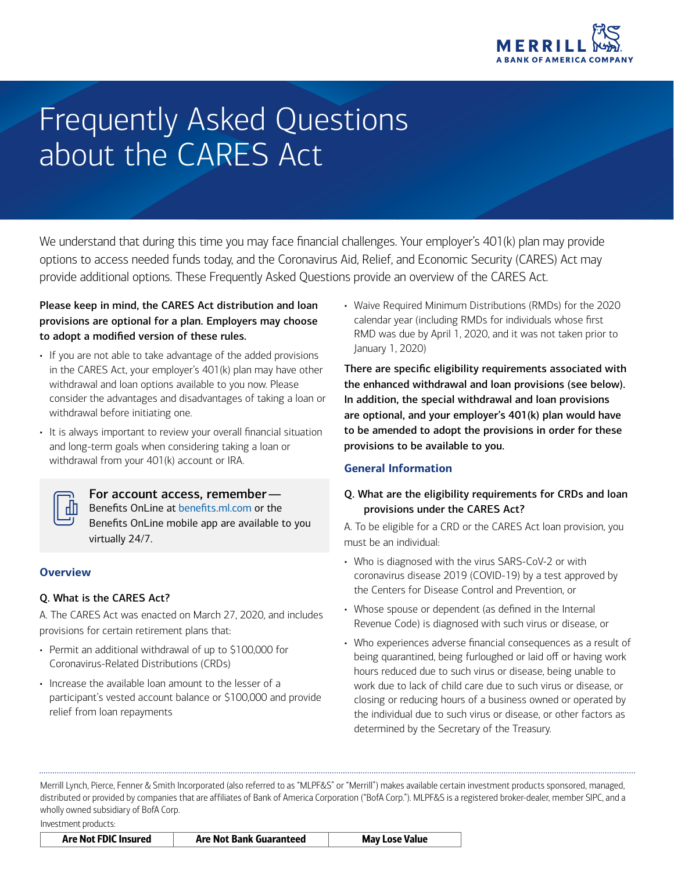

# Frequently Asked Questions about the CARES Act

We understand that during this time you may face financial challenges. Your employer's 401(k) plan may provide options to access needed funds today, and the Coronavirus Aid, Relief, and Economic Security (CARES) Act may provide additional options. These Frequently Asked Questions provide an overview of the CARES Act.

#### Please keep in mind, the CARES Act distribution and loan provisions are optional for a plan. Employers may choose to adopt a modified version of these rules.

- If you are not able to take advantage of the added provisions in the CARES Act, your employer's 401(k) plan may have other withdrawal and loan options available to you now. Please consider the advantages and disadvantages of taking a loan or withdrawal before initiating one.
- It is always important to review your overall financial situation and long-term goals when considering taking a loan or withdrawal from your 401(k) account or IRA.



#### For account access, remember—

Benefits OnLine at benefits.ml.com or the Benefits OnLine mobile app are available to you virtually 24/7.

## **Overview**

#### Q. What is the CARES Act?

A. The CARES Act was enacted on March 27, 2020, and includes provisions for certain retirement plans that:

- Permit an additional withdrawal of up to \$100,000 for Coronavirus-Related Distributions (CRDs)
- Increase the available loan amount to the lesser of a participant's vested account balance or \$100,000 and provide relief from loan repayments

• Waive Required Minimum Distributions (RMDs) for the 2020 calendar year (including RMDs for individuals whose first RMD was due by April 1, 2020, and it was not taken prior to January 1, 2020)

There are specific eligibility requirements associated with the enhanced withdrawal and loan provisions (see below). In addition, the special withdrawal and loan provisions are optional, and your employer's 401(k) plan would have to be amended to adopt the provisions in order for these provisions to be available to you.

## **General Information**

## Q. What are the eligibility requirements for CRDs and loan provisions under the CARES Act?

A. To be eligible for a CRD or the CARES Act loan provision, you must be an individual:

- Who is diagnosed with the virus SARS-CoV-2 or with coronavirus disease 2019 (COVID-19) by a test approved by the Centers for Disease Control and Prevention, or
- Whose spouse or dependent (as defined in the Internal Revenue Code) is diagnosed with such virus or disease, or
- Who experiences adverse financial consequences as a result of being quarantined, being furloughed or laid off or having work hours reduced due to such virus or disease, being unable to work due to lack of child care due to such virus or disease, or closing or reducing hours of a business owned or operated by the individual due to such virus or disease, or other factors as determined by the Secretary of the Treasury.

Merrill Lynch, Pierce, Fenner & Smith Incorporated (also referred to as "MLPF&S" or "Merrill") makes available certain investment products sponsored, managed, distributed or provided by companies that are affiliates of Bank of America Corporation ("BofA Corp."). MLPF&S is a registered broker-dealer, member SIPC, and a wholly owned subsidiary of BofA Corp.

Investment products:

|  | Are Not FDIC Insured | Are Not Bank Guaranteed | <b>May Lose Value</b> |
|--|----------------------|-------------------------|-----------------------|
|--|----------------------|-------------------------|-----------------------|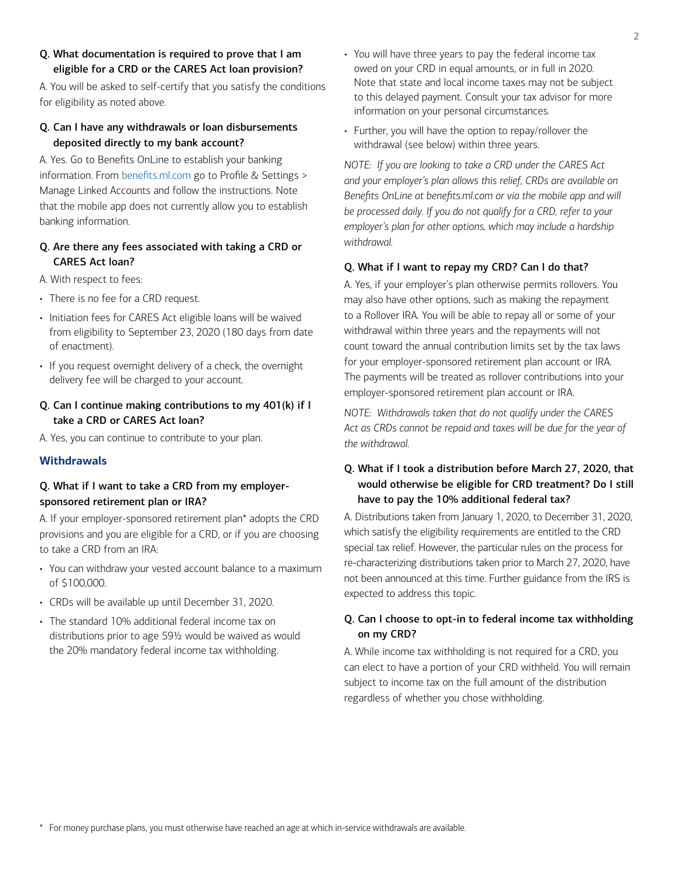#### Q. What documentation is required to prove that I am eligible for a CRD or the CARES Act loan provision?

A. You will be asked to self-certify that you satisfy the conditions for eligibility as noted above.

#### Q. Can I have any withdrawals or loan disbursements deposited directly to my bank account?

A. Yes. Go to Benefits OnLine to establish your banking information. From [benefits.ml.com](https://www.benefits.ml.com) go to Profile & Settings > Manage Linked Accounts and follow the instructions. Note that the mobile app does not currently allow you to establish banking information.

## Q. Are there any fees associated with taking a CRD or CARES Act loan?

- A. With respect to fees:
- There is no fee for a CRD request.
- Initiation fees for CARES Act eligible loans will be waived from eligibility to September 23, 2020 (180 days from date of enactment).
- If you request overnight delivery of a check, the overnight delivery fee will be charged to your account.

## Q. Can I continue making contributions to my 401(k) if I take a CRD or CARES Act loan?

A. Yes, you can continue to contribute to your plan.

#### **Withdrawals**

# Q. What if I want to take a CRD from my employersponsored retirement plan or IRA?

A. If your employer-sponsored retirement plan\* adopts the CRD provisions and you are eligible for a CRD, or if you are choosing to take a CRD from an IRA:

- You can withdraw your vested account balance to a maximum of \$100,000.
- CRDs will be available up until December 31, 2020.
- The standard 10% additional federal income tax on distributions prior to age 59½ would be waived as would the 20% mandatory federal income tax withholding.
- You will have three years to pay the federal income tax owed on your CRD in equal amounts, or in full in 2020. Note that state and local income taxes may not be subject to this delayed payment. Consult your tax advisor for more information on your personal circumstances.
- Further, you will have the option to repay/rollover the withdrawal (see below) within three years.

*NOTE: If you are looking to take a CRD under the CARES Act and your employer's plan allows this relief, CRDs are available on*  Benefits OnLine at benefits.ml.com or via the mobile app and will *be processed daily. If you do not qualify for a CRD, refer to your employer's plan for other options, which may include a hardship withdrawal.* 

#### Q. What if I want to repay my CRD? Can I do that?

A. Yes, if your employer's plan otherwise permits rollovers. You may also have other options, such as making the repayment to a Rollover IRA. You will be able to repay all or some of your withdrawal within three years and the repayments will not count toward the annual contribution limits set by the tax laws for your employer-sponsored retirement plan account or IRA. The payments will be treated as rollover contributions into your employer-sponsored retirement plan account or IRA.

*NOTE: Withdrawals taken that do not qualify under the CARES Act as CRDs cannot be repaid and taxes will be due for the year of the withdrawal.* 

## Q. What if I took a distribution before March 27, 2020, that would otherwise be eligible for CRD treatment? Do I still have to pay the 10% additional federal tax?

A. Distributions taken from January 1, 2020, to December 31, 2020, which satisfy the eligibility requirements are entitled to the CRD special tax relief. However, the particular rules on the process for re-characterizing distributions taken prior to March 27, 2020, have not been announced at this time. Further guidance from the IRS is expected to address this topic.

#### Q. Can I choose to opt-in to federal income tax withholding on my CRD?

A. While income tax withholding is not required for a CRD, you can elect to have a portion of your CRD withheld. You will remain subject to income tax on the full amount of the distribution regardless of whether you chose withholding.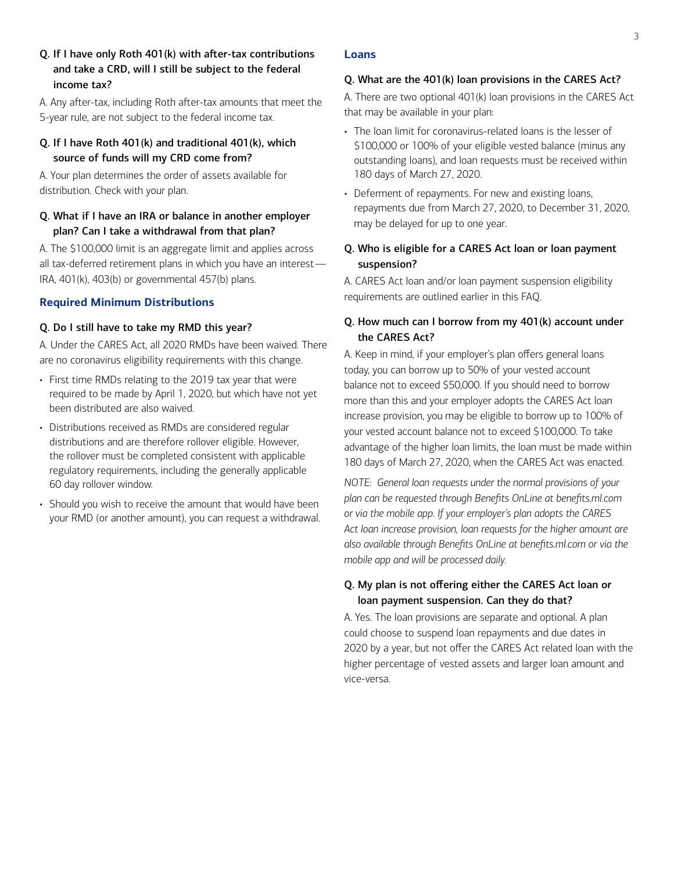Q. If I have only Roth 401(k) with after-tax contributions and take a CRD, will I still be subject to the federal income tax?

A. Any after-tax, including Roth after-tax amounts that meet the 5-year rule, are not subject to the federal income tax.

#### Q. If I have Roth 401(k) and traditional 401(k), which source of funds will my CRD come from?

A. Your plan determines the order of assets available for distribution. Check with your plan.

#### Q. What if I have an IRA or balance in another employer plan? Can I take a withdrawal from that plan?

A. The \$100,000 limit is an aggregate limit and applies across all tax-deferred retirement plans in which you have an interest— IRA, 401(k), 403(b) or governmental 457(b) plans.

#### **Required Minimum Distributions**

#### Q. Do I still have to take my RMD this year?

A. Under the CARES Act, all 2020 RMDs have been waived. There are no coronavirus eligibility requirements with this change.

- First time RMDs relating to the 2019 tax year that were required to be made by April 1, 2020, but which have not yet been distributed are also waived.
- Distributions received as RMDs are considered regular distributions and are therefore rollover eligible. However, the rollover must be completed consistent with applicable regulatory requirements, including the generally applicable 60 day rollover window.
- Should you wish to receive the amount that would have been your RMD (or another amount), you can request a withdrawal.

#### **Loans**

#### Q. What are the 401(k) loan provisions in the CARES Act?

A. There are two optional 401(k) loan provisions in the CARES Act that may be available in your plan:

- The loan limit for coronavirus-related loans is the lesser of \$100,000 or 100% of your eligible vested balance (minus any outstanding loans), and loan requests must be received within 180 days of March 27, 2020.
- Deferment of repayments. For new and existing loans, repayments due from March 27, 2020, to December 31, 2020, may be delayed for up to one year.

## Q. Who is eligible for a CARES Act loan or loan payment suspension?

A. CARES Act loan and/or loan payment suspension eligibility requirements are outlined earlier in this FAQ.

#### Q. How much can I borrow from my 401(k) account under the CARES Act?

A. Keep in mind, if your employer's plan offers general loans today, you can borrow up to 50% of your vested account balance not to exceed \$50,000. If you should need to borrow more than this and your employer adopts the CARES Act loan increase provision, you may be eligible to borrow up to 100% of your vested account balance not to exceed \$100,000. To take advantage of the higher loan limits, the loan must be made within 180 days of March 27, 2020, when the CARES Act was enacted.

*NOTE: General loan requests under the normal provisions of your plan can be requested through Benefits OnLine at benefits.ml.com or via the mobile app. If your employer's plan adopts the CARES Act loan increase provision, loan requests for the higher amount are also available through Benefits OnLine at benefits.ml.com or via the mobile app and will be processed daily.* 

#### Q. My plan is not offering either the CARES Act loan or loan payment suspension. Can they do that?

A. Yes. The loan provisions are separate and optional. A plan could choose to suspend loan repayments and due dates in 2020 by a year, but not offer the CARES Act related loan with the higher percentage of vested assets and larger loan amount and vice-versa.